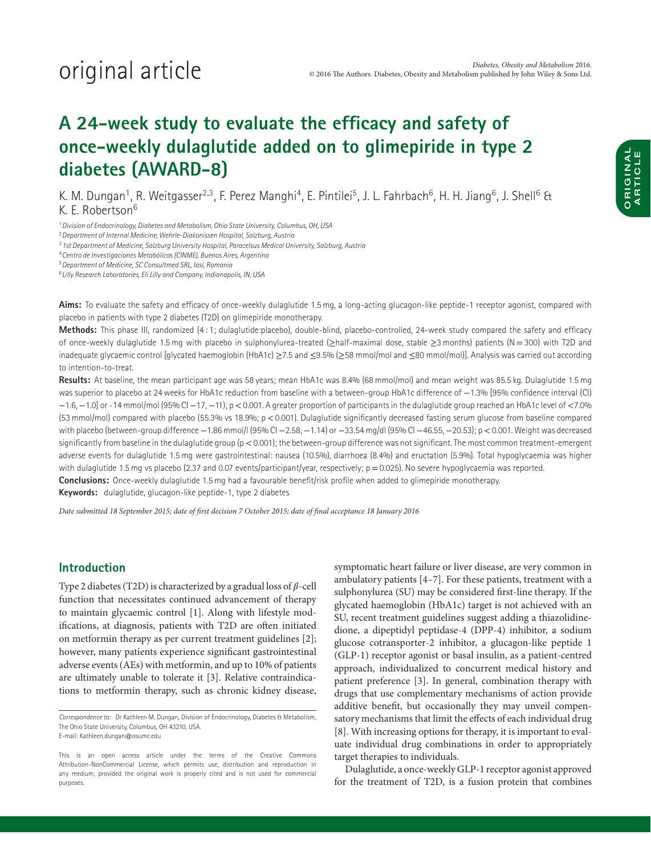## **A 24-week study to evaluate the efficacy and safety of once-weekly dulaglutide added on to glimepiride in type 2 diabetes (AWARD-8)**

K. M. Dungan<sup>1</sup>, R. Weitgasser<sup>2,3</sup>, F. Perez Manghi<sup>4</sup>, E. Pintilei<sup>5</sup>, J. L. Fahrbach<sup>6</sup>, H. H. Jiang<sup>6</sup>, J. Shell<sup>6</sup> & K. E. Robertson6

<sup>1</sup> Division of Endocrinology, Diabetes and Metabolism, Ohio State University, Columbus, OH, USA

<sup>2</sup> Department of Internal Medicine, Wehrle-Diakonissen Hospital, Salzburg, Austria

<sup>3</sup> 1st Department of Medicine, Salzburg University Hospital, Paracelsus Medical University, Salzburg, Austria

<sup>4</sup>Centro de Investigaciones Metabólicas (CINME), Buenos Aires, Argentina

<sup>5</sup>Department of Medicine, SC Consultmed SRL, Iasi, Romania

<sup>6</sup>Lilly Research Laboratories, Eli Lilly and Company, Indianapolis, IN, USA

**Aims:** To evaluate the safety and efficacy of once-weekly dulaglutide 1.5 mg, a long-acting glucagon-like peptide-1 receptor agonist, compared with placebo in patients with type 2 diabetes (T2D) on glimepiride monotherapy.

**Methods:** This phase III, randomized (4 : 1; dulaglutide:placebo), double-blind, placebo-controlled, 24-week study compared the safety and efficacy of once-weekly dulaglutide 1.5 mg with placebo in sulphonylurea-treated (≥half-maximal dose, stable ≥3 months) patients (N=300) with T2D and inadequate glycaemic control [glycated haemoglobin (HbA1c) ≥7.5 and ≤9.5% (≥58 mmol/mol and ≤80 mmol/mol)]. Analysis was carried out according to intention-to-treat.

**Results:** At baseline, the mean participant age was 58 years; mean HbA1c was 8.4% (68 mmol/mol) and mean weight was 85.5 kg. Dulaglutide 1.5 mg was superior to placebo at 24 weeks for HbA1c reduction from baseline with a between-group HbA1c difference of −1.3% [95% confidence interval (CI) −1.6, −1.0] or -14 mmol/mol (95% CI −17, −11); p*<*0.001. A greater proportion of participants in the dulaglutide group reached an HbA1c level of *<*7.0% (53 mmol/mol) compared with placebo (55.3% vs 18.9%; p*<*0.001). Dulaglutide significantly decreased fasting serum glucose from baseline compared with placebo (between-group difference −1.86 mmol/l (95% CI −2.58, −1.14) or −33.54 mg/dl (95% CI −46.55, −20.53); p*<*0.001. Weight was decreased significantly from baseline in the dulaglutide group (p*<*0.001); the between-group difference was not significant. The most common treatment-emergent adverse events for dulaglutide 1.5 mg were gastrointestinal: nausea (10.5%), diarrhoea (8.4%) and eructation (5.9%). Total hypoglycaemia was higher with dulaglutide 1.5 mg vs placebo (2.37 and 0.07 events/participant/year, respectively; p = 0.025). No severe hypoglycaemia was reported. **Conclusions:** Once-weekly dulaglutide 1.5 mg had a favourable benefit/risk profile when added to glimepiride monotherapy.

**Keywords:** dulaglutide, glucagon-like peptide-1, type 2 diabetes

*Date submitted 18 September 2015; date of first decision 7 October 2015; date of final acceptance 18 January 2016*

### **Introduction**

Type 2 diabetes (T2D) is characterized by a gradual loss of  $\beta$ -cell function that necessitates continued advancement of therapy to maintain glycaemic control [1]. Along with lifestyle modifications, at diagnosis, patients with T2D are often initiated on metformin therapy as per current treatment guidelines [2]; however, many patients experience significant gastrointestinal adverse events (AEs) with metformin, and up to 10% of patients are ultimately unable to tolerate it [3]. Relative contraindications to metformin therapy, such as chronic kidney disease,

symptomatic heart failure or liver disease, are very common in ambulatory patients [4–7]. For these patients, treatment with a sulphonylurea (SU) may be considered first-line therapy. If the glycated haemoglobin (HbA1c) target is not achieved with an SU, recent treatment guidelines suggest adding a thiazolidinedione, a dipeptidyl peptidase-4 (DPP-4) inhibitor, a sodium glucose cotransporter-2 inhibitor, a glucagon-like peptide 1 (GLP-1) receptor agonist or basal insulin, as a patient-centred approach, individualized to concurrent medical history and patient preference [3]. In general, combination therapy with drugs that use complementary mechanisms of action provide additive benefit, but occasionally they may unveil compensatory mechanisms that limit the effects of each individual drug [8]. With increasing options for therapy, it is important to evaluate individual drug combinations in order to appropriately target therapies to individuals.

Dulaglutide, a once-weekly GLP-1 receptor agonist approved for the treatment of T2D, is a fusion protein that combines

Correspondence to: Dr Kathleen M. Dungan, Division of Endocrinology, Diabetes & Metabolism, The Ohio State University, Columbus, OH 43210, USA. E-mail: Kathleen.dungan@osumc.edu

This is an open access article under the terms of the Creative Commons Attribution-NonCommercial License, which permits use, distribution and reproduction in any medium, provided the original work is properly cited and is not used for commercial purposes.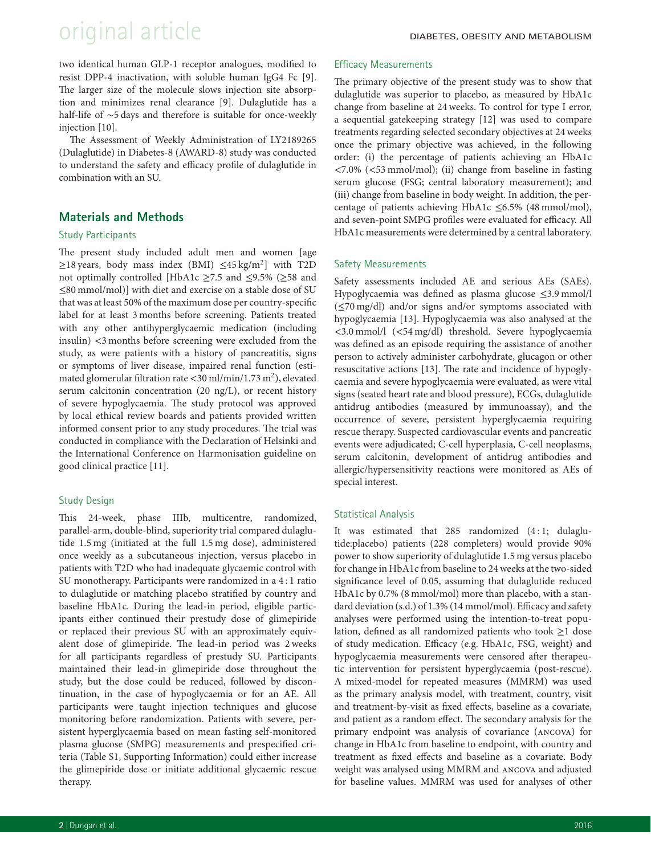# original article DIABETES, OBESITY AND METABOLISM

two identical human GLP-1 receptor analogues, modified to resist DPP-4 inactivation, with soluble human IgG4 Fc [9]. The larger size of the molecule slows injection site absorption and minimizes renal clearance [9]. Dulaglutide has a half-life of ∼5 days and therefore is suitable for once-weekly injection [10].

The Assessment of Weekly Administration of LY2189265 (Dulaglutide) in Diabetes-8 (AWARD-8) study was conducted to understand the safety and efficacy profile of dulaglutide in combination with an SU.

### **Materials and Methods**

### Study Participants

The present study included adult men and women [age  $\geq$ 18 years, body mass index (BMI)  $\leq$ 45 kg/m<sup>2</sup>] with T2D not optimally controlled [HbA1c ≥7.5 and ≤9.5% (≥58 and ≤80 mmol/mol)] with diet and exercise on a stable dose of SU that was at least 50% of the maximum dose per country-specific label for at least 3 months before screening. Patients treated with any other antihyperglycaemic medication (including insulin) *<*3 months before screening were excluded from the study, as were patients with a history of pancreatitis, signs or symptoms of liver disease, impaired renal function (estimated glomerular filtration rate <30 ml/min/1.73 m<sup>2</sup>), elevated serum calcitonin concentration (20 ng/L), or recent history of severe hypoglycaemia. The study protocol was approved by local ethical review boards and patients provided written informed consent prior to any study procedures. The trial was conducted in compliance with the Declaration of Helsinki and the International Conference on Harmonisation guideline on good clinical practice [11].

### Study Design

This 24-week, phase IIIb, multicentre, randomized, parallel-arm, double-blind, superiority trial compared dulaglutide 1.5 mg (initiated at the full 1.5 mg dose), administered once weekly as a subcutaneous injection, versus placebo in patients with T2D who had inadequate glycaemic control with SU monotherapy. Participants were randomized in a 4 : 1 ratio to dulaglutide or matching placebo stratified by country and baseline HbA1c. During the lead-in period, eligible participants either continued their prestudy dose of glimepiride or replaced their previous SU with an approximately equivalent dose of glimepiride. The lead-in period was 2 weeks for all participants regardless of prestudy SU. Participants maintained their lead-in glimepiride dose throughout the study, but the dose could be reduced, followed by discontinuation, in the case of hypoglycaemia or for an AE. All participants were taught injection techniques and glucose monitoring before randomization. Patients with severe, persistent hyperglycaemia based on mean fasting self-monitored plasma glucose (SMPG) measurements and prespecified criteria (Table S1, Supporting Information) could either increase the glimepiride dose or initiate additional glycaemic rescue therapy.

### Efficacy Measurements

The primary objective of the present study was to show that dulaglutide was superior to placebo, as measured by HbA1c change from baseline at 24 weeks. To control for type I error, a sequential gatekeeping strategy [12] was used to compare treatments regarding selected secondary objectives at 24 weeks once the primary objective was achieved, in the following order: (i) the percentage of patients achieving an HbA1c *<*7.0% (*<*53 mmol/mol); (ii) change from baseline in fasting serum glucose (FSG; central laboratory measurement); and (iii) change from baseline in body weight. In addition, the percentage of patients achieving HbA1c ≤6.5% (48 mmol/mol), and seven-point SMPG profiles were evaluated for efficacy. All HbA1c measurements were determined by a central laboratory.

### Safety Measurements

Safety assessments included AE and serious AEs (SAEs). Hypoglycaemia was defined as plasma glucose ≤3.9 mmol/l (≤70 mg/dl) and/or signs and/or symptoms associated with hypoglycaemia [13]. Hypoglycaemia was also analysed at the *<*3.0 mmol/l (*<*54 mg/dl) threshold. Severe hypoglycaemia was defined as an episode requiring the assistance of another person to actively administer carbohydrate, glucagon or other resuscitative actions [13]. The rate and incidence of hypoglycaemia and severe hypoglycaemia were evaluated, as were vital signs (seated heart rate and blood pressure), ECGs, dulaglutide antidrug antibodies (measured by immunoassay), and the occurrence of severe, persistent hyperglycaemia requiring rescue therapy. Suspected cardiovascular events and pancreatic events were adjudicated; C-cell hyperplasia, C-cell neoplasms, serum calcitonin, development of antidrug antibodies and allergic/hypersensitivity reactions were monitored as AEs of special interest.

### Statistical Analysis

It was estimated that 285 randomized (4:1; dulaglutide:placebo) patients (228 completers) would provide 90% power to show superiority of dulaglutide 1.5 mg versus placebo for change in HbA1c from baseline to 24 weeks at the two-sided significance level of 0.05, assuming that dulaglutide reduced HbA1c by 0.7% (8 mmol/mol) more than placebo, with a standard deviation (s.d.) of 1.3% (14 mmol/mol). Efficacy and safety analyses were performed using the intention-to-treat population, defined as all randomized patients who took ≥1 dose of study medication. Efficacy (e.g. HbA1c, FSG, weight) and hypoglycaemia measurements were censored after therapeutic intervention for persistent hyperglycaemia (post-rescue). A mixed-model for repeated measures (MMRM) was used as the primary analysis model, with treatment, country, visit and treatment-by-visit as fixed effects, baseline as a covariate, and patient as a random effect. The secondary analysis for the primary endpoint was analysis of covariance (ancova) for change in HbA1c from baseline to endpoint, with country and treatment as fixed effects and baseline as a covariate. Body weight was analysed using MMRM and ancova and adjusted for baseline values. MMRM was used for analyses of other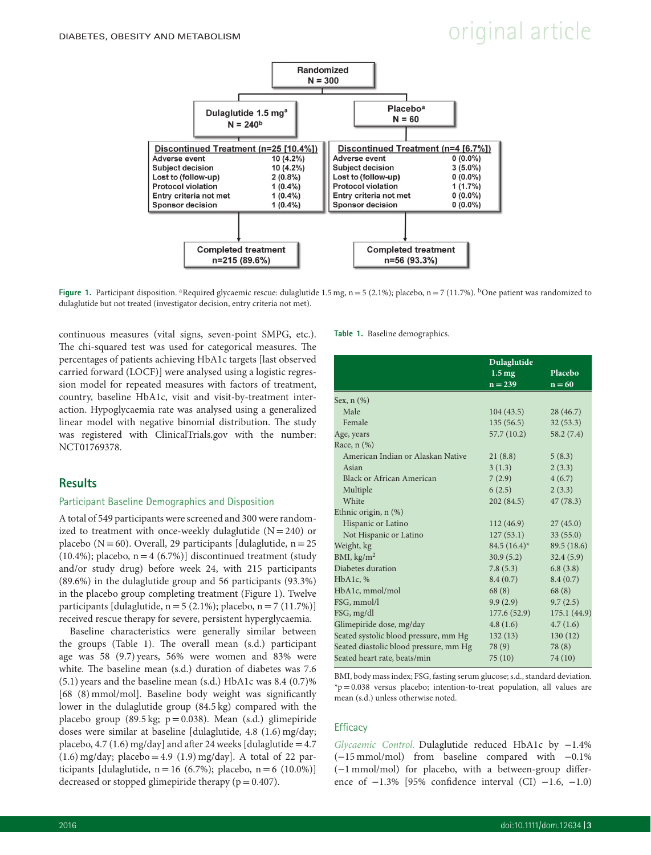# $D$ IABETES, OBESITY AND METABOLISM  $D$  and  $D$  article



**Figure 1.** Participant disposition. <sup>a</sup>Required glycaemic rescue: dulaglutide 1.5 mg, n = 5 (2.1%); placebo, n = 7 (11.7%). <sup>b</sup>One patient was randomized to dulaglutide but not treated (investigator decision, entry criteria not met).

continuous measures (vital signs, seven-point SMPG, etc.). The chi-squared test was used for categorical measures. The percentages of patients achieving HbA1c targets [last observed carried forward (LOCF)] were analysed using a logistic regression model for repeated measures with factors of treatment, country, baseline HbA1c, visit and visit-by-treatment interaction. Hypoglycaemia rate was analysed using a generalized linear model with negative binomial distribution. The study was registered with ClinicalTrials.gov with the number: NCT01769378.

### **Results**

### Participant Baseline Demographics and Disposition

A total of 549 participants were screened and 300 were randomized to treatment with once-weekly dulaglutide  $(N = 240)$  or placebo ( $N = 60$ ). Overall, 29 participants [dulaglutide,  $n = 25$ (10.4%); placebo,  $n=4$  (6.7%)] discontinued treatment (study and/or study drug) before week 24, with 215 participants (89.6%) in the dulaglutide group and 56 participants (93.3%) in the placebo group completing treatment (Figure 1). Twelve participants [dulaglutide,  $n = 5 (2.1\%)$ ; placebo,  $n = 7 (11.7\%)$ ] received rescue therapy for severe, persistent hyperglycaemia.

Baseline characteristics were generally similar between the groups (Table 1). The overall mean (s.d.) participant age was 58 (9.7) years, 56% were women and 83% were white. The baseline mean (s.d.) duration of diabetes was 7.6 (5.1) years and the baseline mean (s.d.) HbA1c was 8.4 (0.7)% [68 (8) mmol/mol]. Baseline body weight was significantly lower in the dulaglutide group (84.5 kg) compared with the placebo group (89.5 kg;  $p = 0.038$ ). Mean (s.d.) glimepiride doses were similar at baseline [dulaglutide, 4.8 (1.6) mg/day; placebo, 4.7 (1.6) mg/day] and after 24 weeks [dulaglutide =  $4.7$  $(1.6)$  mg/day; placebo = 4.9  $(1.9)$  mg/day]. A total of 22 participants [dulaglutide,  $n = 16$  (6.7%); placebo,  $n = 6$  (10.0%)] decreased or stopped glimepiride therapy ( $p = 0.407$ ).

#### **Table 1.** Baseline demographics.

|                                        | Dulaglutide         |             |  |
|----------------------------------------|---------------------|-------------|--|
|                                        | $1.5 \,\mathrm{mg}$ | Placebo     |  |
|                                        | $n = 239$           | $n = 60$    |  |
| Sex, n (%)                             |                     |             |  |
| Male                                   | 104(43.5)           | 28(46.7)    |  |
| Female                                 | 135(56.5)           | 32(53.3)    |  |
| Age, years                             | 57.7(10.2)          | 58.2(7.4)   |  |
| Race, n (%)                            |                     |             |  |
| American Indian or Alaskan Native      | 21(8.8)             | 5(8.3)      |  |
| Asian                                  | 3(1.3)              | 2(3.3)      |  |
| <b>Black or African American</b>       | 7(2.9)              | 4(6.7)      |  |
| Multiple                               | 6(2.5)              | 2(3.3)      |  |
| White                                  | 202(84.5)           | 47(78.3)    |  |
| Ethnic origin, n (%)                   |                     |             |  |
| Hispanic or Latino                     | 112(46.9)           | 27(45.0)    |  |
| Not Hispanic or Latino                 | 127(53.1)           | 33(55.0)    |  |
| Weight, kg                             | $84.5(16.4)^*$      | 89.5 (18.6) |  |
| BMI, $\text{kg/m}^2$                   | 30.9(5.2)           | 32.4(5.9)   |  |
| Diabetes duration                      | 7.8(5.3)            | 6.8(3.8)    |  |
| HbA1c, %                               | 8.4(0.7)            | 8.4(0.7)    |  |
| HbA1c, mmol/mol                        | 68(8)               | 68(8)       |  |
| FSG, mmol/l                            | 9.9(2.9)            | 9.7(2.5)    |  |
| FSG, mg/dl                             | 177.6 (52.9)        | 175.1(44.9) |  |
| Glimepiride dose, mg/day               | 4.8(1.6)            | 4.7(1.6)    |  |
| Seated systolic blood pressure, mm Hg  | 132(13)             | 130(12)     |  |
| Seated diastolic blood pressure, mm Hg | 78(9)               | 78 (8)      |  |
| Seated heart rate, beats/min           | 75 (10)             | 74 (10)     |  |
|                                        |                     |             |  |

BMI, body mass index; FSG, fasting serum glucose; s.d., standard deviation. \*p=0.038 versus placebo; intention-to-treat population, all values are mean (s.d.) unless otherwise noted.

### **Efficacy**

*Glycaemic Control.* Dulaglutide reduced HbA1c by −1.4% (−15 mmol/mol) from baseline compared with −0.1% (−1 mmol/mol) for placebo, with a between-group difference of −1.3% [95% confidence interval (CI) −1.6, −1.0)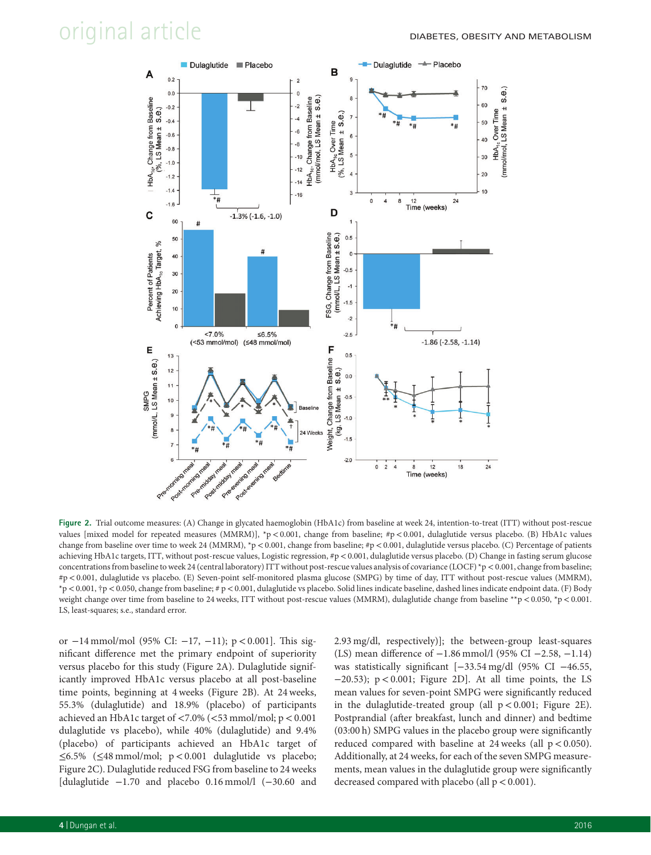

**Figure 2.** Trial outcome measures: (A) Change in glycated haemoglobin (HbA1c) from baseline at week 24, intention-to-treat (ITT) without post-rescue values [mixed model for repeated measures (MMRM)], \*p*<*0.001, change from baseline; #p*<*0.001, dulaglutide versus placebo. (B) HbA1c values change from baseline over time to week 24 (MMRM), \*p *<*0.001, change from baseline; #p*<*0.001, dulaglutide versus placebo. (C) Percentage of patients achieving HbA1c targets, ITT, without post-rescue values, Logistic regression, #p*<*0.001, dulaglutide versus placebo. (D) Change in fasting serum glucose concentrations from baseline to week 24 (central laboratory) ITT without post-rescue values analysis of covariance (LOCF) \*p *<*0.001, change from baseline; #p*<*0.001, dulaglutide vs placebo. (E) Seven-point self-monitored plasma glucose (SMPG) by time of day, ITT without post-rescue values (MMRM), \*p*<*0.001, †p*<*0.050, change from baseline; # p*<*0.001, dulaglutide vs placebo. Solid lines indicate baseline, dashed lines indicate endpoint data. (F) Body weight change over time from baseline to 24 weeks, ITT without post-rescue values (MMRM), dulaglutide change from baseline \*\*p *<*0.050, \*p*<*0.001. LS, least-squares; s.e., standard error.

or −14 mmol/mol (95% CI: −17, −11); p*<*0.001]. This significant difference met the primary endpoint of superiority versus placebo for this study (Figure 2A). Dulaglutide significantly improved HbA1c versus placebo at all post-baseline time points, beginning at 4 weeks (Figure 2B). At 24 weeks, 55.3% (dulaglutide) and 18.9% (placebo) of participants achieved an HbA1c target of *<*7.0% (*<*53 mmol/mol; p*<*0.001 dulaglutide vs placebo), while 40% (dulaglutide) and 9.4% (placebo) of participants achieved an HbA1c target of ≤6.5% (≤48 mmol/mol; p*<*0.001 dulaglutide vs placebo; Figure 2C). Dulaglutide reduced FSG from baseline to 24 weeks [dulaglutide −1.70 and placebo 0.16 mmol/l (−30.60 and 2.93 mg/dl, respectively)]; the between-group least-squares (LS) mean difference of −1.86 mmol/l (95% CI −2.58, −1.14) was statistically significant [−33.54 mg/dl (95% CI −46.55, −20.53); p*<*0.001; Figure 2D]. At all time points, the LS mean values for seven-point SMPG were significantly reduced in the dulaglutide-treated group (all p*<*0.001; Figure 2E). Postprandial (after breakfast, lunch and dinner) and bedtime (03:00 h) SMPG values in the placebo group were significantly reduced compared with baseline at 24 weeks (all p*<*0.050). Additionally, at 24 weeks, for each of the seven SMPG measurements, mean values in the dulaglutide group were significantly decreased compared with placebo (all p*<*0.001).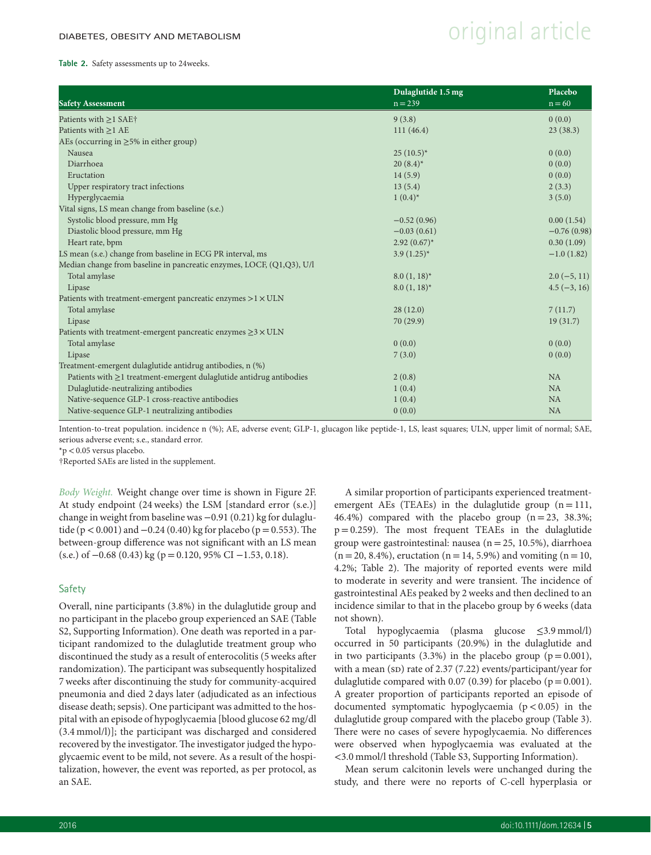## $D$ IABETES, OBESITY AND METABOLISM  $D$  and  $D$  article

#### **Table 2.** Safety assessments up to 24weeks.

|                                                                           | Dulaglutide 1.5 mg | <b>Placebo</b> |
|---------------------------------------------------------------------------|--------------------|----------------|
| <b>Safety Assessment</b>                                                  | $n = 239$          | $n = 60$       |
| Patients with $\geq$ 1 SAE†                                               | 9(3.8)             | 0(0.0)         |
| Patients with $\geq$ 1 AE                                                 | 111(46.4)          | 23(38.3)       |
| AEs (occurring in $\geq$ 5% in either group)                              |                    |                |
| Nausea                                                                    | $25(10.5)^*$       | 0(0.0)         |
| Diarrhoea                                                                 | $20(8.4)^*$        | 0(0.0)         |
| Eructation                                                                | 14(5.9)            | 0(0.0)         |
| Upper respiratory tract infections                                        | 13(5.4)            | 2(3.3)         |
| Hyperglycaemia                                                            | $1(0.4)^{*}$       | 3(5.0)         |
| Vital signs, LS mean change from baseline (s.e.)                          |                    |                |
| Systolic blood pressure, mm Hg                                            | $-0.52(0.96)$      | 0.00(1.54)     |
| Diastolic blood pressure, mm Hg                                           | $-0.03(0.61)$      | $-0.76(0.98)$  |
| Heart rate, bpm                                                           | $2.92(0.67)^{*}$   | 0.30(1.09)     |
| LS mean (s.e.) change from baseline in ECG PR interval, ms                | $3.9(1.25)^{*}$    | $-1.0(1.82)$   |
| Median change from baseline in pancreatic enzymes, LOCF, (Q1,Q3), U/l     |                    |                |
| Total amylase                                                             | $8.0(1, 18)^*$     | $2.0(-5, 11)$  |
| Lipase                                                                    | $8.0(1, 18)^*$     | $4.5(-3, 16)$  |
| Patients with treatment-emergent pancreatic enzymes $>1 \times ULN$       |                    |                |
| Total amylase                                                             | 28(12.0)           | 7(11.7)        |
| Lipase                                                                    | 70 (29.9)          | 19(31.7)       |
| Patients with treatment-emergent pancreatic enzymes $\geq$ 3 $\times$ ULN |                    |                |
| Total amylase                                                             | 0(0.0)             | 0(0.0)         |
| Lipase                                                                    | 7(3.0)             | 0(0.0)         |
| Treatment-emergent dulaglutide antidrug antibodies, n (%)                 |                    |                |
| Patients with $\geq$ 1 treatment-emergent dulaglutide antidrug antibodies | 2(0.8)             | NA             |
| Dulaglutide-neutralizing antibodies                                       | 1(0.4)             | <b>NA</b>      |
| Native-sequence GLP-1 cross-reactive antibodies                           | 1(0.4)             | <b>NA</b>      |
| Native-sequence GLP-1 neutralizing antibodies                             | 0(0.0)             | NA             |

Intention-to-treat population. incidence n (%); AE, adverse event; GLP-1, glucagon like peptide-1, LS, least squares; ULN, upper limit of normal; SAE, serious adverse event; s.e., standard error.

\*p*<*0.05 versus placebo.

†Reported SAEs are listed in the supplement.

*Body Weight.* Weight change over time is shown in Figure 2F. At study endpoint (24 weeks) the LSM [standard error (s.e.)] change in weight from baseline was −0.91 (0.21) kg for dulaglutide (p*<*0.001) and−0.24 (0.40) kg for placebo (p=0.553).The between-group difference was not significant with an LS mean  $(s.e.)$  of  $-0.68$  (0.43) kg (p = 0.120, 95% CI  $-1.53$ , 0.18).

### Safety

Overall, nine participants (3.8%) in the dulaglutide group and no participant in the placebo group experienced an SAE (Table S2, Supporting Information). One death was reported in a participant randomized to the dulaglutide treatment group who discontinued the study as a result of enterocolitis (5 weeks after randomization). The participant was subsequently hospitalized 7 weeks after discontinuing the study for community-acquired pneumonia and died 2 days later (adjudicated as an infectious disease death; sepsis). One participant was admitted to the hospital with an episode of hypoglycaemia [blood glucose 62 mg/dl (3.4 mmol/l)]; the participant was discharged and considered recovered by the investigator.The investigator judged the hypoglycaemic event to be mild, not severe. As a result of the hospitalization, however, the event was reported, as per protocol, as an SAE.

A similar proportion of participants experienced treatmentemergent AEs (TEAEs) in the dulaglutide group  $(n=111,$ 46.4%) compared with the placebo group  $(n=23, 38.3\%)$ ;  $p=0.259$ ). The most frequent TEAEs in the dulaglutide group were gastrointestinal: nausea (n=25, 10.5%), diarrhoea  $(n=20, 8.4\%)$ , eructation  $(n=14, 5.9\%)$  and vomiting  $(n = 10, 10)$ 4.2%; Table 2). The majority of reported events were mild to moderate in severity and were transient. The incidence of gastrointestinal AEs peaked by 2 weeks and then declined to an incidence similar to that in the placebo group by 6 weeks (data not shown).

Total hypoglycaemia (plasma glucose ≤3.9 mmol/l) occurred in 50 participants (20.9%) in the dulaglutide and in two participants  $(3.3\%)$  in the placebo group  $(p=0.001)$ , with a mean (sD) rate of  $2.37$  (7.22) events/participant/year for dulaglutide compared with 0.07 (0.39) for placebo ( $p = 0.001$ ). A greater proportion of participants reported an episode of documented symptomatic hypoglycaemia (p*<*0.05) in the dulaglutide group compared with the placebo group (Table 3). There were no cases of severe hypoglycaemia. No differences were observed when hypoglycaemia was evaluated at the *<*3.0 mmol/l threshold (Table S3, Supporting Information).

Mean serum calcitonin levels were unchanged during the study, and there were no reports of C-cell hyperplasia or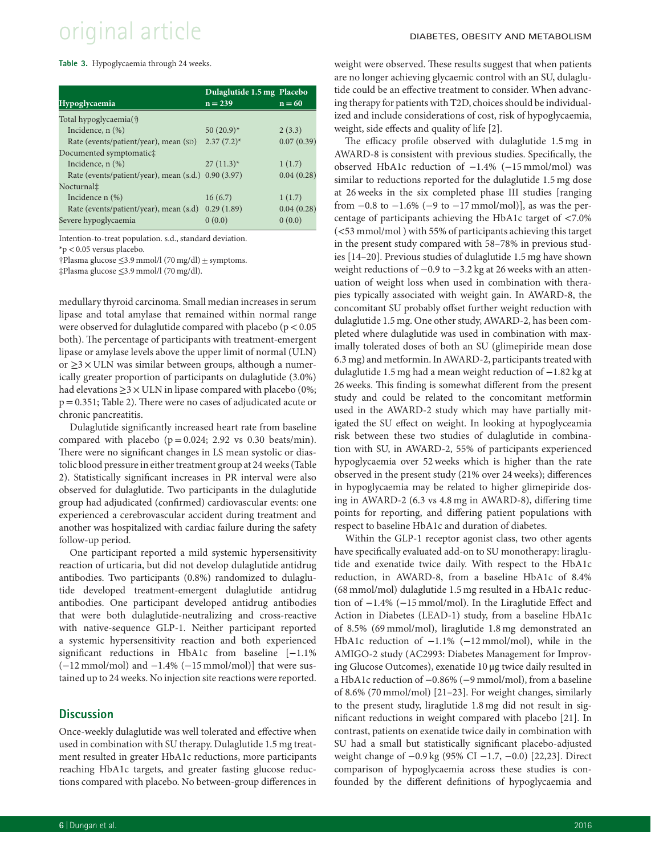# original article DIABETES, OBESITY AND METABOLISM

**Table 3.** Hypoglycaemia through 24 weeks.

|                                                     | Dulaglutide 1.5 mg Placebo |            |
|-----------------------------------------------------|----------------------------|------------|
| <b>Hypoglycaemia</b>                                | $n = 239$                  | $n = 60$   |
| Total hypoglycaemia(†)                              |                            |            |
| Incidence, $n$ $(\%)$                               | 50 $(20.9)^*$              | 2(3.3)     |
| Rate (events/patient/year), mean (SD)               | $2.37(7.2)^*$              | 0.07(0.39) |
| Documented symptomatic‡                             |                            |            |
| Incidence, $n$ $(\%)$                               | $27(11.3)^*$               | 1(1.7)     |
| Rate (events/patient/year), mean (s.d.) 0.90 (3.97) |                            | 0.04(0.28) |
| Nocturnal‡                                          |                            |            |
| Incidence $n$ $(\%)$                                | 16(6.7)                    | 1(1.7)     |
| Rate (events/patient/year), mean (s.d)              | 0.29(1.89)                 | 0.04(0.28) |
| Severe hypoglycaemia                                | 0(0.0)                     | 0(0.0)     |

Intention-to-treat population. s.d., standard deviation.

\*p*<*0.05 versus placebo.

†Plasma glucose ≤3.9 mmol/l (70 mg/dl) ± symptoms.

‡Plasma glucose ≤3.9 mmol/l (70 mg/dl).

medullary thyroid carcinoma. Small median increases in serum lipase and total amylase that remained within normal range were observed for dulaglutide compared with placebo (p*<*0.05 both). The percentage of participants with treatment-emergent lipase or amylase levels above the upper limit of normal (ULN) or  $\geq$ 3  $\times$  ULN was similar between groups, although a numerically greater proportion of participants on dulaglutide (3.0%) had elevations  $\geq$ 3 × ULN in lipase compared with placebo (0%; p=0.351; Table 2). There were no cases of adjudicated acute or chronic pancreatitis.

Dulaglutide significantly increased heart rate from baseline compared with placebo ( $p=0.024$ ; 2.92 vs 0.30 beats/min). There were no significant changes in LS mean systolic or diastolic blood pressure in either treatment group at 24 weeks (Table 2). Statistically significant increases in PR interval were also observed for dulaglutide. Two participants in the dulaglutide group had adjudicated (confirmed) cardiovascular events: one experienced a cerebrovascular accident during treatment and another was hospitalized with cardiac failure during the safety follow-up period.

One participant reported a mild systemic hypersensitivity reaction of urticaria, but did not develop dulaglutide antidrug antibodies. Two participants (0.8%) randomized to dulaglutide developed treatment-emergent dulaglutide antidrug antibodies. One participant developed antidrug antibodies that were both dulaglutide-neutralizing and cross-reactive with native-sequence GLP-1. Neither participant reported a systemic hypersensitivity reaction and both experienced significant reductions in HbA1c from baseline [−1.1% (−12 mmol/mol) and −1.4% (−15 mmol/mol)] that were sustained up to 24 weeks. No injection site reactions were reported.

### **Discussion**

Once-weekly dulaglutide was well tolerated and effective when used in combination with SU therapy. Dulaglutide 1.5 mg treatment resulted in greater HbA1c reductions, more participants reaching HbA1c targets, and greater fasting glucose reductions compared with placebo. No between-group differences in weight were observed. These results suggest that when patients are no longer achieving glycaemic control with an SU, dulaglutide could be an effective treatment to consider. When advancing therapy for patients with T2D, choices should be individualized and include considerations of cost, risk of hypoglycaemia, weight, side effects and quality of life [2].

The efficacy profile observed with dulaglutide 1.5 mg in AWARD-8 is consistent with previous studies. Specifically, the observed HbA1c reduction of −1.4% (−15 mmol/mol) was similar to reductions reported for the dulaglutide 1.5 mg dose at 26 weeks in the six completed phase III studies [ranging from  $-0.8$  to  $-1.6\%$  ( $-9$  to  $-17$  mmol/mol)], as was the percentage of participants achieving the HbA1c target of *<*7.0% (*<*53 mmol/mol ) with 55% of participants achieving this target in the present study compared with 58–78% in previous studies [14–20]. Previous studies of dulaglutide 1.5 mg have shown weight reductions of −0.9 to −3.2 kg at 26 weeks with an attenuation of weight loss when used in combination with therapies typically associated with weight gain. In AWARD-8, the concomitant SU probably offset further weight reduction with dulaglutide 1.5 mg. One other study, AWARD-2, has been completed where dulaglutide was used in combination with maximally tolerated doses of both an SU (glimepiride mean dose 6.3 mg) and metformin. In AWARD-2, participants treated with dulaglutide 1.5 mg had a mean weight reduction of −1.82 kg at 26 weeks. This finding is somewhat different from the present study and could be related to the concomitant metformin used in the AWARD-2 study which may have partially mitigated the SU effect on weight. In looking at hypoglyceamia risk between these two studies of dulaglutide in combination with SU, in AWARD-2, 55% of participants experienced hypoglycaemia over 52 weeks which is higher than the rate observed in the present study (21% over 24 weeks); differences in hypoglycaemia may be related to higher glimepiride dosing in AWARD-2 (6.3 vs 4.8 mg in AWARD-8), differing time points for reporting, and differing patient populations with respect to baseline HbA1c and duration of diabetes.

Within the GLP-1 receptor agonist class, two other agents have specifically evaluated add-on to SU monotherapy: liraglutide and exenatide twice daily. With respect to the HbA1c reduction, in AWARD-8, from a baseline HbA1c of 8.4% (68 mmol/mol) dulaglutide 1.5 mg resulted in a HbA1c reduction of −1.4% (−15 mmol/mol). In the Liraglutide Effect and Action in Diabetes (LEAD-1) study, from a baseline HbA1c of 8.5% (69 mmol/mol), liraglutide 1.8 mg demonstrated an HbA1c reduction of −1.1% (−12 mmol/mol), while in the AMIGO-2 study (AC2993: Diabetes Management for Improving Glucose Outcomes), exenatide 10 μg twice daily resulted in a HbA1c reduction of −0.86% (−9 mmol/mol), from a baseline of 8.6% (70 mmol/mol) [21–23]. For weight changes, similarly to the present study, liraglutide 1.8 mg did not result in significant reductions in weight compared with placebo [21]. In contrast, patients on exenatide twice daily in combination with SU had a small but statistically significant placebo-adjusted weight change of −0.9 kg (95% CI −1.7, −0.0) [22,23]. Direct comparison of hypoglycaemia across these studies is confounded by the different definitions of hypoglycaemia and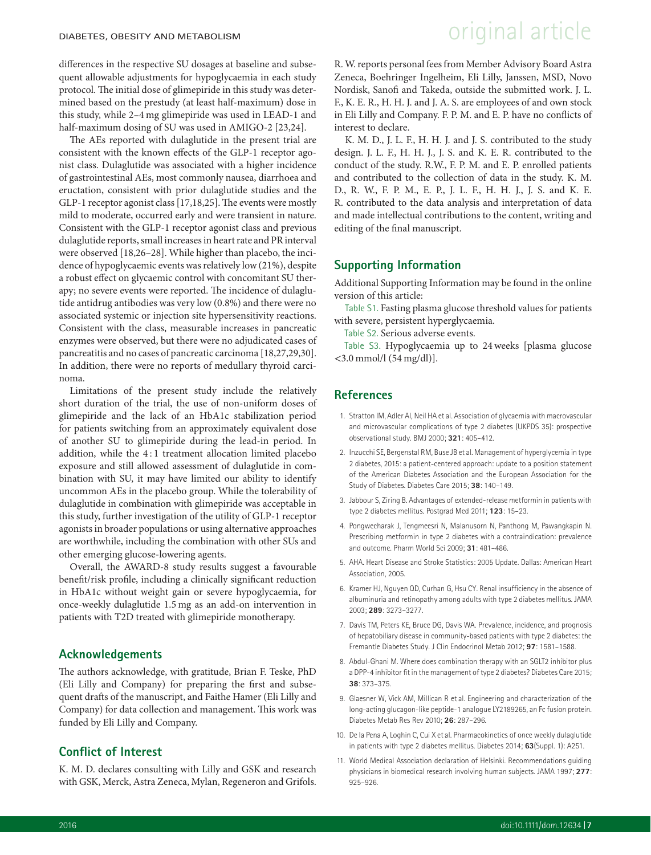differences in the respective SU dosages at baseline and subsequent allowable adjustments for hypoglycaemia in each study protocol. The initial dose of glimepiride in this study was determined based on the prestudy (at least half-maximum) dose in this study, while 2–4 mg glimepiride was used in LEAD-1 and half-maximum dosing of SU was used in AMIGO-2 [23,24].

The AEs reported with dulaglutide in the present trial are consistent with the known effects of the GLP-1 receptor agonist class. Dulaglutide was associated with a higher incidence of gastrointestinal AEs, most commonly nausea, diarrhoea and eructation, consistent with prior dulaglutide studies and the GLP-1 receptor agonist class [17,18,25]. The events were mostly mild to moderate, occurred early and were transient in nature. Consistent with the GLP-1 receptor agonist class and previous dulaglutide reports, small increases in heart rate and PR interval were observed [18,26–28]. While higher than placebo, the incidence of hypoglycaemic events was relatively low (21%), despite a robust effect on glycaemic control with concomitant SU therapy; no severe events were reported. The incidence of dulaglutide antidrug antibodies was very low (0.8%) and there were no associated systemic or injection site hypersensitivity reactions. Consistent with the class, measurable increases in pancreatic enzymes were observed, but there were no adjudicated cases of pancreatitis and no cases of pancreatic carcinoma [18,27,29,30]. In addition, there were no reports of medullary thyroid carcinoma.

Limitations of the present study include the relatively short duration of the trial, the use of non-uniform doses of glimepiride and the lack of an HbA1c stabilization period for patients switching from an approximately equivalent dose of another SU to glimepiride during the lead-in period. In addition, while the 4 : 1 treatment allocation limited placebo exposure and still allowed assessment of dulaglutide in combination with SU, it may have limited our ability to identify uncommon AEs in the placebo group. While the tolerability of dulaglutide in combination with glimepiride was acceptable in this study, further investigation of the utility of GLP-1 receptor agonists in broader populations or using alternative approaches are worthwhile, including the combination with other SUs and other emerging glucose-lowering agents.

Overall, the AWARD-8 study results suggest a favourable benefit/risk profile, including a clinically significant reduction in HbA1c without weight gain or severe hypoglycaemia, for once-weekly dulaglutide 1.5 mg as an add-on intervention in patients with T2D treated with glimepiride monotherapy.

### **Acknowledgements**

The authors acknowledge, with gratitude, Brian F. Teske, PhD (Eli Lilly and Company) for preparing the first and subsequent drafts of the manuscript, and Faithe Hamer (Eli Lilly and Company) for data collection and management. This work was funded by Eli Lilly and Company.

### **Conflict of Interest**

K. M. D. declares consulting with Lilly and GSK and research with GSK, Merck, Astra Zeneca, Mylan, Regeneron and Grifols.

## $D$ IABETES, OBESITY AND METABOLISM  $D$  and  $D$  article

R. W. reports personal fees from Member Advisory Board Astra Zeneca, Boehringer Ingelheim, Eli Lilly, Janssen, MSD, Novo Nordisk, Sanofi and Takeda, outside the submitted work. J. L. F., K. E. R., H. H. J. and J. A. S. are employees of and own stock in Eli Lilly and Company. F. P. M. and E. P. have no conflicts of interest to declare.

K. M. D., J. L. F., H. H. J. and J. S. contributed to the study design. J. L. F., H. H. J., J. S. and K. E. R. contributed to the conduct of the study. R.W., F. P. M. and E. P. enrolled patients and contributed to the collection of data in the study. K. M. D., R. W., F. P. M., E. P., J. L. F., H. H. J., J. S. and K. E. R. contributed to the data analysis and interpretation of data and made intellectual contributions to the content, writing and editing of the final manuscript.

### **Supporting Information**

Additional Supporting Information may be found in the online version of this article:

Table S1. Fasting plasma glucose threshold values for patients with severe, persistent hyperglycaemia.

Table S2. Serious adverse events.

Table S3. Hypoglycaemia up to 24 weeks [plasma glucose *<*3.0 mmol/l (54 mg/dl)].

### **References**

- 1. Stratton IM, Adler AI, Neil HA et al. Association of glycaemia with macrovascular and microvascular complications of type 2 diabetes (UKPDS 35): prospective observational study. BMJ 2000; **321**: 405–412.
- 2. Inzucchi SE, Bergenstal RM, Buse JB et al. Management of hyperglycemia in type 2 diabetes, 2015: a patient-centered approach: update to a position statement of the American Diabetes Association and the European Association for the Study of Diabetes. Diabetes Care 2015; **38**: 140–149.
- 3. Jabbour S, Ziring B. Advantages of extended-release metformin in patients with type 2 diabetes mellitus. Postgrad Med 2011; **123**: 15–23.
- 4. Pongwecharak J, Tengmeesri N, Malanusorn N, Panthong M, Pawangkapin N. Prescribing metformin in type 2 diabetes with a contraindication: prevalence and outcome. Pharm World Sci 2009; **31**: 481–486.
- 5. AHA. Heart Disease and Stroke Statistics: 2005 Update. Dallas: American Heart Association, 2005.
- 6. Kramer HJ, Nguyen QD, Curhan G, Hsu CY. Renal insufficiency in the absence of albuminuria and retinopathy among adults with type 2 diabetes mellitus. JAMA 2003; **289**: 3273–3277.
- 7. Davis TM, Peters KE, Bruce DG, Davis WA. Prevalence, incidence, and prognosis of hepatobiliary disease in community-based patients with type 2 diabetes: the Fremantle Diabetes Study. J Clin Endocrinol Metab 2012; **97**: 1581–1588.
- 8. Abdul-Ghani M. Where does combination therapy with an SGLT2 inhibitor plus a DPP-4 inhibitor fit in the management of type 2 diabetes? Diabetes Care 2015; **38**: 373–375.
- 9. Glaesner W, Vick AM, Millican R et al. Engineering and characterization of the long-acting glucagon-like peptide-1 analogue LY2189265, an Fc fusion protein. Diabetes Metab Res Rev 2010; **26**: 287–296.
- 10. De la Pena A, Loghin C, Cui X et al. Pharmacokinetics of once weekly dulaglutide in patients with type 2 diabetes mellitus. Diabetes 2014; **63**(Suppl. 1): A251.
- 11. World Medical Association declaration of Helsinki. Recommendations guiding physicians in biomedical research involving human subjects. JAMA 1997; **277**: 925–926.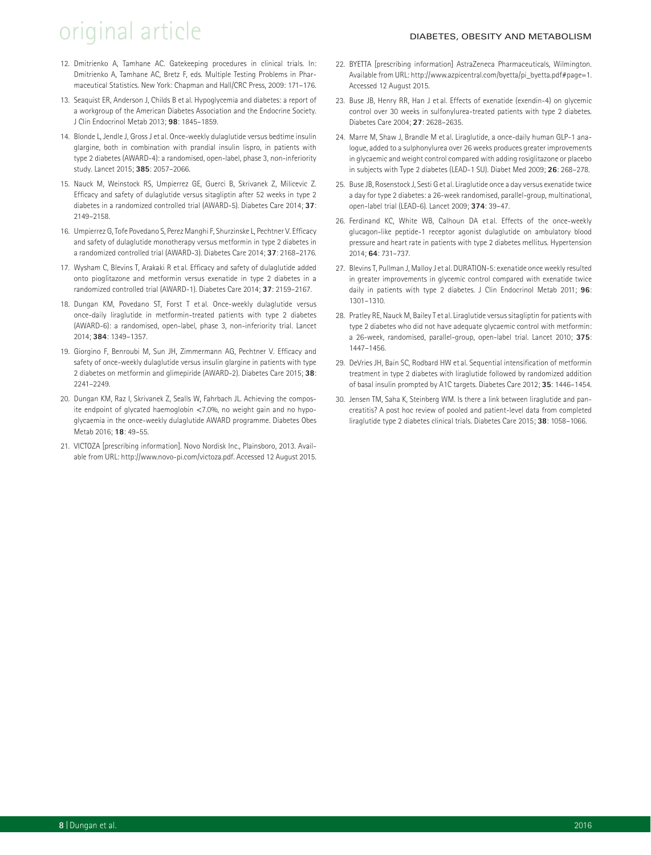# original article DIABETES, OBESITY AND METABOLISM

- 12. Dmitrienko A, Tamhane AC. Gatekeeping procedures in clinical trials. In: Dmitrienko A, Tamhane AC, Bretz F, eds. Multiple Testing Problems in Pharmaceutical Statistics. New York: Chapman and Hall/CRC Press, 2009: 171–176.
- 13. Seaquist ER, Anderson J, Childs B et al. Hypoglycemia and diabetes: a report of a workgroup of the American Diabetes Association and the Endocrine Society. J Clin Endocrinol Metab 2013; **98**: 1845–1859.
- 14. Blonde L, Jendle J, Gross J et al. Once-weekly dulaglutide versus bedtime insulin glargine, both in combination with prandial insulin lispro, in patients with type 2 diabetes (AWARD-4): a randomised, open-label, phase 3, non-inferiority study. Lancet 2015; **385**: 2057–2066.
- 15. Nauck M, Weinstock RS, Umpierrez GE, Guerci B, Skrivanek Z, Milicevic Z. Efficacy and safety of dulaglutide versus sitagliptin after 52 weeks in type 2 diabetes in a randomized controlled trial (AWARD-5). Diabetes Care 2014; **37**: 2149–2158.
- 16. Umpierrez G, Tofe Povedano S, Perez Manghi F, Shurzinske L, Pechtner V. Efficacy and safety of dulaglutide monotherapy versus metformin in type 2 diabetes in a randomized controlled trial (AWARD-3). Diabetes Care 2014; **37**: 2168–2176.
- 17. Wysham C, Blevins T, Arakaki R et al. Efficacy and safety of dulaglutide added onto pioglitazone and metformin versus exenatide in type 2 diabetes in a randomized controlled trial (AWARD-1). Diabetes Care 2014; **37**: 2159–2167.
- 18. Dungan KM, Povedano ST, Forst T et al. Once-weekly dulaglutide versus once-daily liraglutide in metformin-treated patients with type 2 diabetes (AWARD-6): a randomised, open-label, phase 3, non-inferiority trial. Lancet 2014; **384**: 1349–1357.
- 19. Giorgino F, Benroubi M, Sun JH, Zimmermann AG, Pechtner V. Efficacy and safety of once-weekly dulaglutide versus insulin glargine in patients with type 2 diabetes on metformin and glimepiride (AWARD-2). Diabetes Care 2015; **38**: 2241–2249.
- 20. Dungan KM, Raz I, Skrivanek Z, Sealls W, Fahrbach JL. Achieving the composite endpoint of glycated haemoglobin *<*7.0%, no weight gain and no hypoglycaemia in the once-weekly dulaglutide AWARD programme. Diabetes Obes Metab 2016; **18**: 49–55.
- 21. VICTOZA [prescribing information]. Novo Nordisk Inc., Plainsboro, 2013. Available from URL: http://www.novo-pi.com/victoza.pdf. Accessed 12 August 2015.
- 22. BYETTA [prescribing information] AstraZeneca Pharmaceuticals, Wilmington. Available from URL: http://www.azpicentral.com/byetta/pi\_byetta.pdf#page=1. Accessed 12 August 2015.
- 23. Buse JB, Henry RR, Han J et al. Effects of exenatide (exendin-4) on glycemic control over 30 weeks in sulfonylurea-treated patients with type 2 diabetes. Diabetes Care 2004; **27**: 2628–2635.
- 24. Marre M, Shaw J, Brandle M et al. Liraglutide, a once-daily human GLP-1 analogue, added to a sulphonylurea over 26 weeks produces greater improvements in glycaemic and weight control compared with adding rosiglitazone or placebo in subjects with Type 2 diabetes (LEAD-1 SU). Diabet Med 2009; **26**: 268–278.
- 25. Buse JB, Rosenstock J, Sesti G et al. Liraglutide once a day versus exenatide twice a day for type 2 diabetes: a 26-week randomised, parallel-group, multinational, open-label trial (LEAD-6). Lancet 2009; **374**: 39–47.
- 26. Ferdinand KC, White WB, Calhoun DA et al. Effects of the once-weekly glucagon-like peptide-1 receptor agonist dulaglutide on ambulatory blood pressure and heart rate in patients with type 2 diabetes mellitus. Hypertension 2014; **64**: 731–737.
- 27. Blevins T, Pullman J, Malloy J et al. DURATION-5: exenatide once weekly resulted in greater improvements in glycemic control compared with exenatide twice daily in patients with type 2 diabetes. J Clin Endocrinol Metab 2011; **96**: 1301–1310.
- 28. Pratley RE, Nauck M, Bailey T et al. Liraglutide versus sitagliptin for patients with type 2 diabetes who did not have adequate glycaemic control with metformin: a 26-week, randomised, parallel-group, open-label trial. Lancet 2010; **375**: 1447–1456.
- 29. DeVries JH, Bain SC, Rodbard HW et al. Sequential intensification of metformin treatment in type 2 diabetes with liraglutide followed by randomized addition of basal insulin prompted by A1C targets. Diabetes Care 2012; **35**: 1446–1454.
- 30. Jensen TM, Saha K, Steinberg WM. Is there a link between liraglutide and pancreatitis? A post hoc review of pooled and patient-level data from completed liraglutide type 2 diabetes clinical trials. Diabetes Care 2015; **38**: 1058–1066.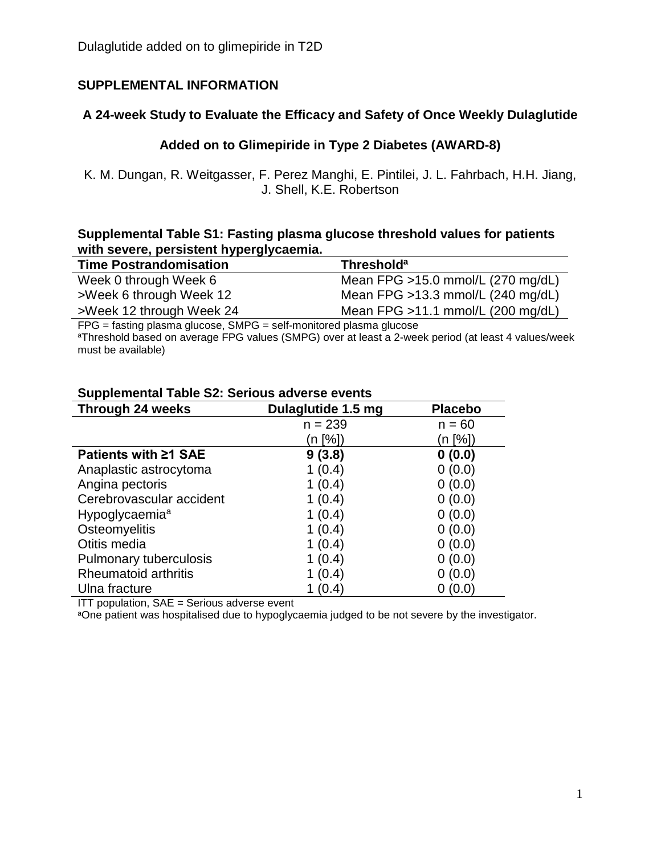## **SUPPLEMENTAL INFORMATION**

## **A 24-week Study to Evaluate the Efficacy and Safety of Once Weekly Dulaglutide**

## **Added on to Glimepiride in Type 2 Diabetes (AWARD-8)**

K. M. Dungan, R. Weitgasser, F. Perez Manghi, E. Pintilei, J. L. Fahrbach, H.H. Jiang, J. Shell, K.E. Robertson

### **Supplemental Table S1: Fasting plasma glucose threshold values for patients with severe, persistent hyperglycaemia.**

| <b>Time Postrandomisation</b> | <b>Threshold</b> <sup>a</sup>       |
|-------------------------------|-------------------------------------|
| Week 0 through Week 6         | Mean FPG >15.0 mmol/L (270 mg/dL)   |
| >Week 6 through Week 12       | Mean FPG $>13.3$ mmol/L (240 mg/dL) |
| >Week 12 through Week 24      | Mean FPG $>11.1$ mmol/L (200 mg/dL) |

FPG = fasting plasma glucose, SMPG = self-monitored plasma glucose

aThreshold based on average FPG values (SMPG) over at least a 2-week period (at least 4 values/week must be available)

| <b>Through 24 weeks</b>     | Dulaglutide 1.5 mg | <b>Placebo</b> |
|-----------------------------|--------------------|----------------|
|                             | $n = 239$          | $n = 60$       |
|                             | (n [%])            | (n [%])        |
| <b>Patients with ≥1 SAE</b> | 9(3.8)             | 0(0.0)         |
| Anaplastic astrocytoma      | 1(0.4)             | 0(0.0)         |
| Angina pectoris             | 1(0.4)             | 0(0.0)         |
| Cerebrovascular accident    | 1(0.4)             | 0(0.0)         |
| Hypoglycaemia <sup>a</sup>  | 1(0.4)             | 0(0.0)         |
| Osteomyelitis               | 1(0.4)             | 0(0.0)         |
| Otitis media                | 1(0.4)             | 0(0.0)         |
| Pulmonary tuberculosis      | 1(0.4)             | 0(0.0)         |
| Rheumatoid arthritis        | (0.4)              | (0.0)          |
| Ulna fracture               | (0.4)              | (0.0)          |

### **Supplemental Table S2: Serious adverse events**

ITT population, SAE = Serious adverse event

aOne patient was hospitalised due to hypoglycaemia judged to be not severe by the investigator.